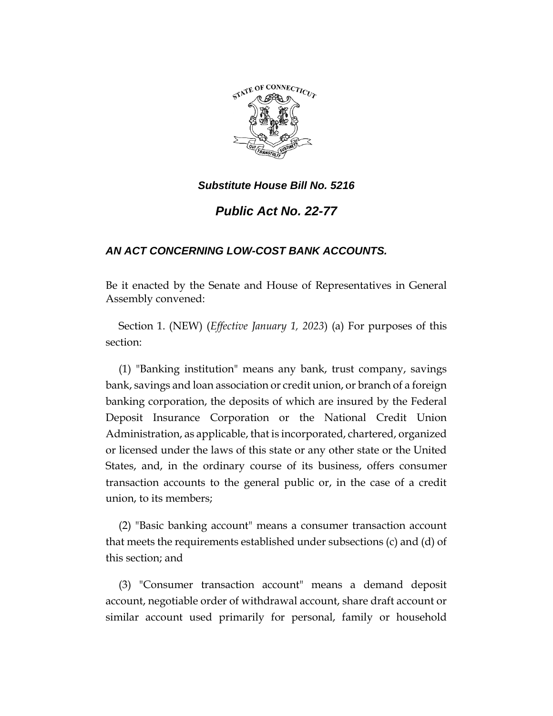

*Substitute House Bill No. 5216*

*Public Act No. 22-77*

## *AN ACT CONCERNING LOW-COST BANK ACCOUNTS.*

Be it enacted by the Senate and House of Representatives in General Assembly convened:

Section 1. (NEW) (*Effective January 1, 2023*) (a) For purposes of this section:

(1) "Banking institution" means any bank, trust company, savings bank, savings and loan association or credit union, or branch of a foreign banking corporation, the deposits of which are insured by the Federal Deposit Insurance Corporation or the National Credit Union Administration, as applicable, that is incorporated, chartered, organized or licensed under the laws of this state or any other state or the United States, and, in the ordinary course of its business, offers consumer transaction accounts to the general public or, in the case of a credit union, to its members;

(2) "Basic banking account" means a consumer transaction account that meets the requirements established under subsections (c) and (d) of this section; and

(3) "Consumer transaction account" means a demand deposit account, negotiable order of withdrawal account, share draft account or similar account used primarily for personal, family or household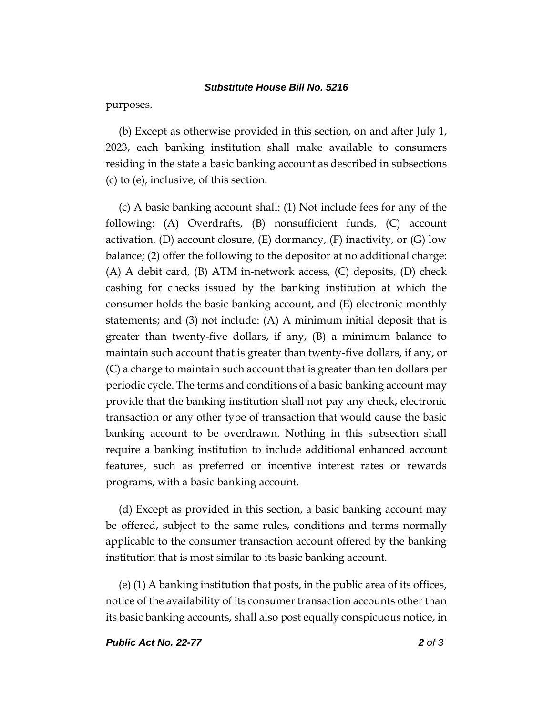## *Substitute House Bill No. 5216*

purposes.

(b) Except as otherwise provided in this section, on and after July 1, 2023, each banking institution shall make available to consumers residing in the state a basic banking account as described in subsections (c) to (e), inclusive, of this section.

(c) A basic banking account shall: (1) Not include fees for any of the following: (A) Overdrafts, (B) nonsufficient funds, (C) account activation,  $(D)$  account closure,  $(E)$  dormancy,  $(F)$  inactivity, or  $(G)$  low balance; (2) offer the following to the depositor at no additional charge: (A) A debit card, (B) ATM in-network access, (C) deposits, (D) check cashing for checks issued by the banking institution at which the consumer holds the basic banking account, and (E) electronic monthly statements; and  $(3)$  not include:  $(A)$  A minimum initial deposit that is greater than twenty-five dollars, if any, (B) a minimum balance to maintain such account that is greater than twenty-five dollars, if any, or (C) a charge to maintain such account that is greater than ten dollars per periodic cycle. The terms and conditions of a basic banking account may provide that the banking institution shall not pay any check, electronic transaction or any other type of transaction that would cause the basic banking account to be overdrawn. Nothing in this subsection shall require a banking institution to include additional enhanced account features, such as preferred or incentive interest rates or rewards programs, with a basic banking account.

(d) Except as provided in this section, a basic banking account may be offered, subject to the same rules, conditions and terms normally applicable to the consumer transaction account offered by the banking institution that is most similar to its basic banking account.

(e) (1) A banking institution that posts, in the public area of its offices, notice of the availability of its consumer transaction accounts other than its basic banking accounts, shall also post equally conspicuous notice, in